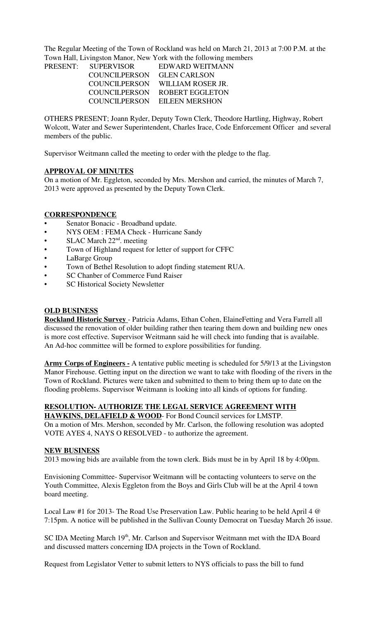The Regular Meeting of the Town of Rockland was held on March 21, 2013 at 7:00 P.M. at the Town Hall, Livingston Manor, New York with the following members

PRESENT: SUPERVISOR EDWARD WEITMANN COUNCILPERSON GLEN CARLSON COUNCILPERSON WILLIAM ROSER JR. COUNCILPERSON ROBERT EGGLETON COUNCILPERSON EILEEN MERSHON

OTHERS PRESENT; Joann Ryder, Deputy Town Clerk, Theodore Hartling, Highway, Robert Wolcott, Water and Sewer Superintendent, Charles Irace, Code Enforcement Officer and several members of the public.

Supervisor Weitmann called the meeting to order with the pledge to the flag.

#### **APPROVAL OF MINUTES**

On a motion of Mr. Eggleton, seconded by Mrs. Mershon and carried, the minutes of March 7, 2013 were approved as presented by the Deputy Town Clerk.

## **CORRESPONDENCE**

- Senator Bonacic Broadband update.
- NYS OEM : FEMA Check Hurricane Sandy
- SLAC March 22<sup>nd</sup>. meeting
- Town of Highland request for letter of support for CFFC
- LaBarge Group
- Town of Bethel Resolution to adopt finding statement RUA.
- SC Chanber of Commerce Fund Raiser
- SC Historical Society Newsletter

### **OLD BUSINESS**

**Rockland Historic Survey** - Patricia Adams, Ethan Cohen, ElaineFetting and Vera Farrell all discussed the renovation of older building rather then tearing them down and building new ones is more cost effective. Supervisor Weitmann said he will check into funding that is available. An Ad-hoc committee will be formed to explore possibilities for funding.

**Army Corps of Engineers -** A tentative public meeting is scheduled for 5/9/13 at the Livingston Manor Firehouse. Getting input on the direction we want to take with flooding of the rivers in the Town of Rockland. Pictures were taken and submitted to them to bring them up to date on the flooding problems. Supervisor Weitmann is looking into all kinds of options for funding.

## **RESOLUTION- AUTHORIZE THE LEGAL SERVICE AGREEMENT WITH**

**HAWKINS, DELAFIELD & WOOD**- For Bond Council services for LMSTP. On a motion of Mrs. Mershon, seconded by Mr. Carlson, the following resolution was adopted VOTE AYES 4, NAYS O RESOLVED - to authorize the agreement.

#### **NEW BUSINESS**

2013 mowing bids are available from the town clerk. Bids must be in by April 18 by 4:00pm.

Envisioning Committee- Supervisor Weitmann will be contacting volunteers to serve on the Youth Committee, Alexis Eggleton from the Boys and Girls Club will be at the April 4 town board meeting.

Local Law #1 for 2013- The Road Use Preservation Law. Public hearing to be held April 4 @ 7:15pm. A notice will be published in the Sullivan County Democrat on Tuesday March 26 issue.

SC IDA Meeting March 19<sup>th</sup>, Mr. Carlson and Supervisor Weitmann met with the IDA Board and discussed matters concerning IDA projects in the Town of Rockland.

Request from Legislator Vetter to submit letters to NYS officials to pass the bill to fund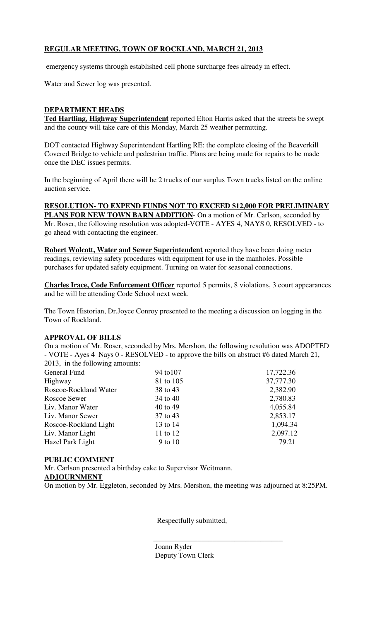# **REGULAR MEETING, TOWN OF ROCKLAND, MARCH 21, 2013**

emergency systems through established cell phone surcharge fees already in effect.

Water and Sewer log was presented.

## **DEPARTMENT HEADS**

**Ted Hartling, Highway Superintendent** reported Elton Harris asked that the streets be swept and the county will take care of this Monday, March 25 weather permitting.

DOT contacted Highway Superintendent Hartling RE: the complete closing of the Beaverkill Covered Bridge to vehicle and pedestrian traffic. Plans are being made for repairs to be made once the DEC issues permits.

In the beginning of April there will be 2 trucks of our surplus Town trucks listed on the online auction service.

**RESOLUTION- TO EXPEND FUNDS NOT TO EXCEED \$12,000 FOR PRELIMINARY PLANS FOR NEW TOWN BARN ADDITION**- On a motion of Mr. Carlson, seconded by Mr. Roser, the following resolution was adopted-VOTE - AYES 4, NAYS 0, RESOLVED - to go ahead with contacting the engineer.

**Robert Wolcott, Water and Sewer Superintendent** reported they have been doing meter readings, reviewing safety procedures with equipment for use in the manholes. Possible purchases for updated safety equipment. Turning on water for seasonal connections.

**Charles Irace, Code Enforcement Officer** reported 5 permits, 8 violations, 3 court appearances and he will be attending Code School next week.

The Town Historian, Dr.Joyce Conroy presented to the meeting a discussion on logging in the Town of Rockland.

#### **APPROVAL OF BILLS**

On a motion of Mr. Roser, seconded by Mrs. Mershon, the following resolution was ADOPTED - VOTE - Ayes 4 Nays 0 - RESOLVED - to approve the bills on abstract #6 dated March 21, 2013, in the following amounts:

| General Fund          | 94 to 107 | 17,722.36 |
|-----------------------|-----------|-----------|
| Highway               | 81 to 105 | 37,777.30 |
| Roscoe-Rockland Water | 38 to 43  | 2,382.90  |
| Roscoe Sewer          | 34 to 40  | 2,780.83  |
| Liv. Manor Water      | 40 to 49  | 4,055.84  |
| Liv. Manor Sewer      | 37 to 43  | 2,853.17  |
| Roscoe-Rockland Light | 13 to 14  | 1,094.34  |
| Liv. Manor Light      | 11 to 12  | 2,097.12  |
| Hazel Park Light      | 9 to 10   | 79.21     |
|                       |           |           |

#### **PUBLIC COMMENT**

Mr. Carlson presented a birthday cake to Supervisor Weitmann. **ADJOURNMENT** On motion by Mr. Eggleton, seconded by Mrs. Mershon, the meeting was adjourned at 8:25PM.

Respectfully submitted,

 Joann Ryder Deputy Town Clerk

 $\frac{1}{\sqrt{2}}$  ,  $\frac{1}{\sqrt{2}}$  ,  $\frac{1}{\sqrt{2}}$  ,  $\frac{1}{\sqrt{2}}$  ,  $\frac{1}{\sqrt{2}}$  ,  $\frac{1}{\sqrt{2}}$  ,  $\frac{1}{\sqrt{2}}$  ,  $\frac{1}{\sqrt{2}}$  ,  $\frac{1}{\sqrt{2}}$  ,  $\frac{1}{\sqrt{2}}$  ,  $\frac{1}{\sqrt{2}}$  ,  $\frac{1}{\sqrt{2}}$  ,  $\frac{1}{\sqrt{2}}$  ,  $\frac{1}{\sqrt{2}}$  ,  $\frac{1}{\sqrt{2}}$